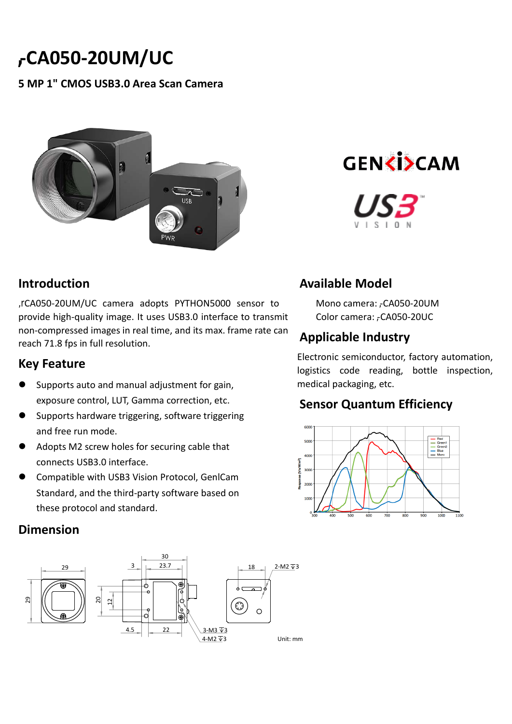# **-CA050-20UM/UC**

#### **5 MP 1" CMOS USB3.0 Area Scan Camera**



#### **Introduction**

**,r**CA050-20UM/UC camera adopts PYTHON5000 sensor to provide high-quality image. It uses USB3.0 interface to transmit non-compressed images in real time, and its max. frame rate can reach 71.8 fps in full resolution.

#### **Key Feature**

- Supports auto and manual adjustment for gain, exposure control, LUT, Gamma correction, etc.
- Supports hardware triggering, software triggering and free run mode.
- Adopts M2 screw holes for securing cable that connects USB3.0 interface.
- Compatible with USB3 Vision Protocol, GenlCam Standard, and the third-party software based on these protocol and standard.

#### **Dimension**





# **Available Model**

Mono camera: HC-CA050-20UM Color camera: HC-CA050-20UC

# **Applicable Industry**

Electronic semiconductor, factory automation, logistics code reading, bottle inspection, medical packaging, etc.

### **Sensor Quantum Efficiency**